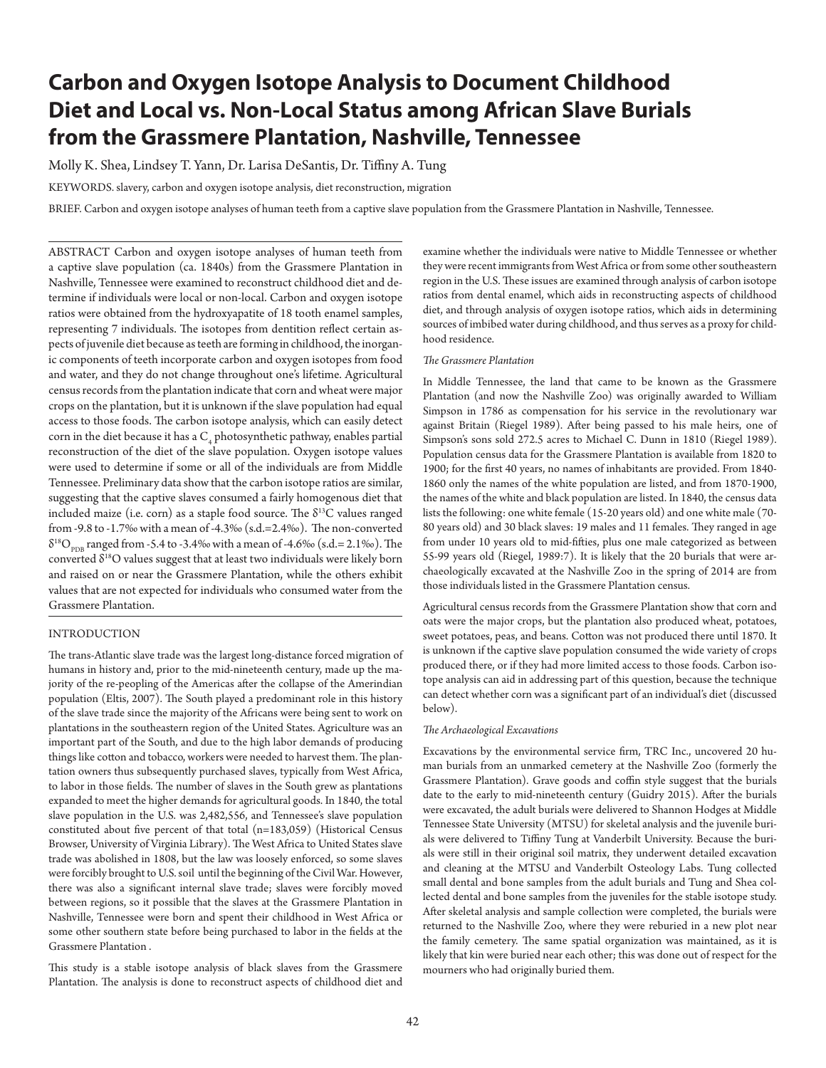# **Carbon and Oxygen Isotope Analysis to Document Childhood Diet and Local vs. Non-Local Status among African Slave Burials from the Grassmere Plantation, Nashville, Tennessee**

Molly K. Shea, Lindsey T. Yann, Dr. Larisa DeSantis, Dr. Tiffiny A. Tung

KEYWORDS. slavery, carbon and oxygen isotope analysis, diet reconstruction, migration

BRIEF. Carbon and oxygen isotope analyses of human teeth from a captive slave population from the Grassmere Plantation in Nashville, Tennessee.

ABSTRACT Carbon and oxygen isotope analyses of human teeth from a captive slave population (ca. 1840s) from the Grassmere Plantation in Nashville, Tennessee were examined to reconstruct childhood diet and determine if individuals were local or non-local. Carbon and oxygen isotope ratios were obtained from the hydroxyapatite of 18 tooth enamel samples, representing 7 individuals. The isotopes from dentition reflect certain aspects of juvenile diet because as teeth are forming in childhood, the inorganic components of teeth incorporate carbon and oxygen isotopes from food and water, and they do not change throughout one's lifetime. Agricultural census records from the plantation indicate that corn and wheat were major crops on the plantation, but it is unknown if the slave population had equal access to those foods. The carbon isotope analysis, which can easily detect corn in the diet because it has a  $\rm C^{}_4$  photosynthetic pathway, enables partial reconstruction of the diet of the slave population. Oxygen isotope values were used to determine if some or all of the individuals are from Middle Tennessee. Preliminary data show that the carbon isotope ratios are similar, suggesting that the captive slaves consumed a fairly homogenous diet that included maize (i.e. corn) as a staple food source. The  $\delta^{13}C$  values ranged from -9.8 to -1.7‰ with a mean of -4.3‰ (s.d.=2.4‰). The non-converted  $\delta^{18}O_{\text{p}_{\text{DR}}}$  ranged from -5.4 to -3.4‰ with a mean of -4.6‰ (s.d.= 2.1‰). The converted  $\delta^{18}O$  values suggest that at least two individuals were likely born and raised on or near the Grassmere Plantation, while the others exhibit values that are not expected for individuals who consumed water from the Grassmere Plantation.

# INTRODUCTION

The trans-Atlantic slave trade was the largest long-distance forced migration of humans in history and, prior to the mid-nineteenth century, made up the majority of the re-peopling of the Americas after the collapse of the Amerindian population (Eltis, 2007). The South played a predominant role in this history of the slave trade since the majority of the Africans were being sent to work on plantations in the southeastern region of the United States. Agriculture was an important part of the South, and due to the high labor demands of producing things like cotton and tobacco, workers were needed to harvest them. The plantation owners thus subsequently purchased slaves, typically from West Africa, to labor in those fields. The number of slaves in the South grew as plantations expanded to meet the higher demands for agricultural goods. In 1840, the total slave population in the U.S. was 2,482,556, and Tennessee's slave population constituted about five percent of that total (n=183,059) (Historical Census Browser, University of Virginia Library). The West Africa to United States slave trade was abolished in 1808, but the law was loosely enforced, so some slaves were forcibly brought to U.S. soil until the beginning of the Civil War. However, there was also a significant internal slave trade; slaves were forcibly moved between regions, so it possible that the slaves at the Grassmere Plantation in Nashville, Tennessee were born and spent their childhood in West Africa or some other southern state before being purchased to labor in the fields at the Grassmere Plantation .

This study is a stable isotope analysis of black slaves from the Grassmere Plantation. The analysis is done to reconstruct aspects of childhood diet and

examine whether the individuals were native to Middle Tennessee or whether they were recent immigrants from West Africa or from some other southeastern region in the U.S. These issues are examined through analysis of carbon isotope ratios from dental enamel, which aids in reconstructing aspects of childhood diet, and through analysis of oxygen isotope ratios, which aids in determining sources of imbibed water during childhood, and thus serves as a proxy for childhood residence.

# *The Grassmere Plantation*

In Middle Tennessee, the land that came to be known as the Grassmere Plantation (and now the Nashville Zoo) was originally awarded to William Simpson in 1786 as compensation for his service in the revolutionary war against Britain (Riegel 1989). After being passed to his male heirs, one of Simpson's sons sold 272.5 acres to Michael C. Dunn in 1810 (Riegel 1989). Population census data for the Grassmere Plantation is available from 1820 to 1900; for the first 40 years, no names of inhabitants are provided. From 1840- 1860 only the names of the white population are listed, and from 1870-1900, the names of the white and black population are listed. In 1840, the census data lists the following: one white female (15-20 years old) and one white male (70- 80 years old) and 30 black slaves: 19 males and 11 females. They ranged in age from under 10 years old to mid-fifties, plus one male categorized as between 55-99 years old (Riegel, 1989:7). It is likely that the 20 burials that were archaeologically excavated at the Nashville Zoo in the spring of 2014 are from those individuals listed in the Grassmere Plantation census.

Agricultural census records from the Grassmere Plantation show that corn and oats were the major crops, but the plantation also produced wheat, potatoes, sweet potatoes, peas, and beans. Cotton was not produced there until 1870. It is unknown if the captive slave population consumed the wide variety of crops produced there, or if they had more limited access to those foods. Carbon isotope analysis can aid in addressing part of this question, because the technique can detect whether corn was a significant part of an individual's diet (discussed below).

#### *The Archaeological Excavations*

Excavations by the environmental service firm, TRC Inc., uncovered 20 human burials from an unmarked cemetery at the Nashville Zoo (formerly the Grassmere Plantation). Grave goods and coffin style suggest that the burials date to the early to mid-nineteenth century (Guidry 2015). After the burials were excavated, the adult burials were delivered to Shannon Hodges at Middle Tennessee State University (MTSU) for skeletal analysis and the juvenile burials were delivered to Tiffiny Tung at Vanderbilt University. Because the burials were still in their original soil matrix, they underwent detailed excavation and cleaning at the MTSU and Vanderbilt Osteology Labs. Tung collected small dental and bone samples from the adult burials and Tung and Shea collected dental and bone samples from the juveniles for the stable isotope study. After skeletal analysis and sample collection were completed, the burials were returned to the Nashville Zoo, where they were reburied in a new plot near the family cemetery. The same spatial organization was maintained, as it is likely that kin were buried near each other; this was done out of respect for the mourners who had originally buried them.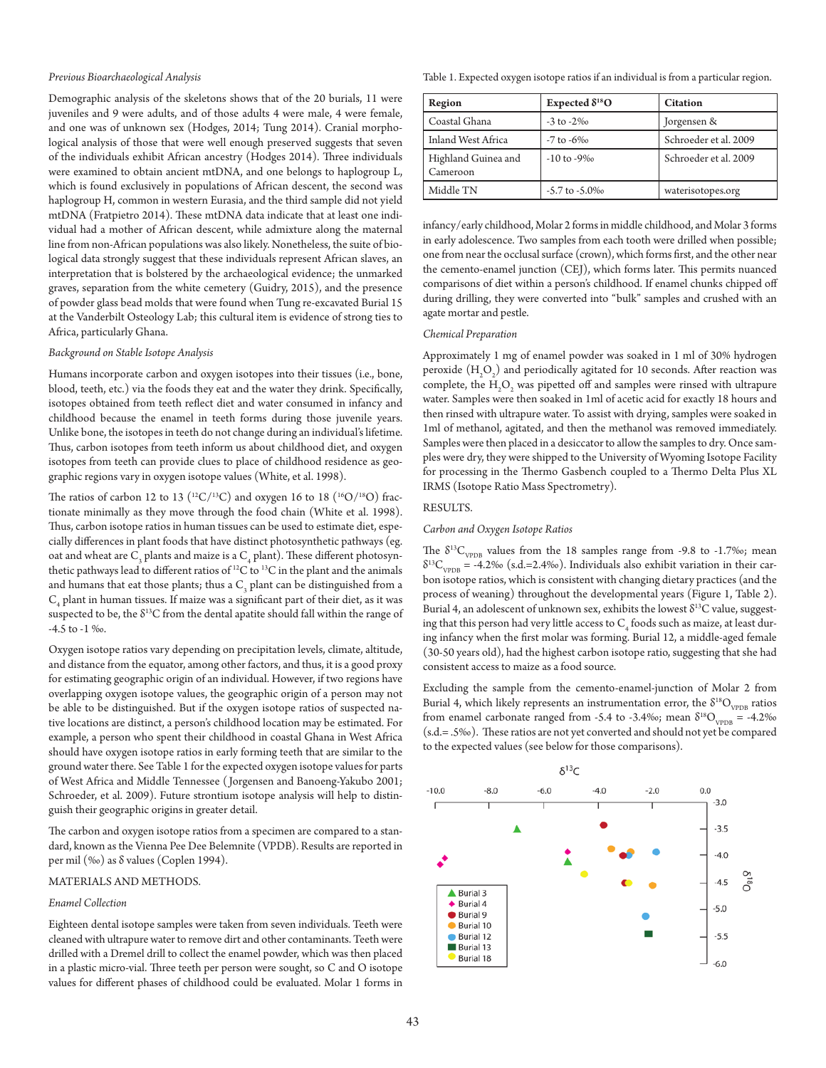#### *Previous Bioarchaeological Analysis*

Demographic analysis of the skeletons shows that of the 20 burials, 11 were juveniles and 9 were adults, and of those adults 4 were male, 4 were female, and one was of unknown sex (Hodges, 2014; Tung 2014). Cranial morphological analysis of those that were well enough preserved suggests that seven of the individuals exhibit African ancestry (Hodges 2014). Three individuals were examined to obtain ancient mtDNA, and one belongs to haplogroup L, which is found exclusively in populations of African descent, the second was haplogroup H, common in western Eurasia, and the third sample did not yield mtDNA (Fratpietro 2014). These mtDNA data indicate that at least one individual had a mother of African descent, while admixture along the maternal line from non-African populations was also likely. Nonetheless, the suite of biological data strongly suggest that these individuals represent African slaves, an interpretation that is bolstered by the archaeological evidence; the unmarked graves, separation from the white cemetery (Guidry, 2015), and the presence of powder glass bead molds that were found when Tung re-excavated Burial 15 at the Vanderbilt Osteology Lab; this cultural item is evidence of strong ties to Africa, particularly Ghana.

#### *Background on Stable Isotope Analysis*

Humans incorporate carbon and oxygen isotopes into their tissues (i.e., bone, blood, teeth, etc.) via the foods they eat and the water they drink. Specifically, isotopes obtained from teeth reflect diet and water consumed in infancy and childhood because the enamel in teeth forms during those juvenile years. Unlike bone, the isotopes in teeth do not change during an individual's lifetime. Thus, carbon isotopes from teeth inform us about childhood diet, and oxygen isotopes from teeth can provide clues to place of childhood residence as geographic regions vary in oxygen isotope values (White, et al. 1998).

The ratios of carbon 12 to 13 ( $^{12}C/^{13}C$ ) and oxygen 16 to 18 ( $^{16}O/^{18}O$ ) fractionate minimally as they move through the food chain (White et al. 1998). Thus, carbon isotope ratios in human tissues can be used to estimate diet, especially differences in plant foods that have distinct photosynthetic pathways (eg. oat and wheat are  $\text{C}_{\scriptscriptstyle{3}}$  plants and maize is a  $\text{C}_{\scriptscriptstyle{4}}$  plant). These different photosynthetic pathways lead to different ratios of  $^{12}C$  to  $^{13}C$  in the plant and the animals and humans that eat those plants; thus a  $C_{3}$  plant can be distinguished from a  $\mathrm{C}_4$  plant in human tissues. If maize was a significant part of their diet, as it was suspected to be, the  $\delta^{13}C$  from the dental apatite should fall within the range of -4.5 to -1 ‰.

Oxygen isotope ratios vary depending on precipitation levels, climate, altitude, and distance from the equator, among other factors, and thus, it is a good proxy for estimating geographic origin of an individual. However, if two regions have overlapping oxygen isotope values, the geographic origin of a person may not be able to be distinguished. But if the oxygen isotope ratios of suspected native locations are distinct, a person's childhood location may be estimated. For example, a person who spent their childhood in coastal Ghana in West Africa should have oxygen isotope ratios in early forming teeth that are similar to the ground water there. See Table 1 for the expected oxygen isotope values for parts of West Africa and Middle Tennessee ( Jorgensen and Banoeng-Yakubo 2001; Schroeder, et al. 2009). Future strontium isotope analysis will help to distinguish their geographic origins in greater detail.

The carbon and oxygen isotope ratios from a specimen are compared to a standard, known as the Vienna Pee Dee Belemnite (VPDB). Results are reported in per mil (‰) as δ values (Coplen 1994).

# MATERIALS AND METHODS.

## *Enamel Collection*

Eighteen dental isotope samples were taken from seven individuals. Teeth were cleaned with ultrapure water to remove dirt and other contaminants. Teeth were drilled with a Dremel drill to collect the enamel powder, which was then placed in a plastic micro-vial. Three teeth per person were sought, so C and O isotope values for different phases of childhood could be evaluated. Molar 1 forms in

Table 1. Expected oxygen isotope ratios if an individual is from a particular region.

| Region                          | Expected $\delta^{18}O$ | <b>Citation</b>       |
|---------------------------------|-------------------------|-----------------------|
| Coastal Ghana                   | $-3$ to $-2\%$          | Jorgensen &           |
| Inland West Africa              | $-7$ to $-6\%$          | Schroeder et al. 2009 |
| Highland Guinea and<br>Cameroon | $-10$ to $-9\%$         | Schroeder et al. 2009 |
| Middle TN                       | $-5.7$ to $-5.0\%$      | waterisotopes.org     |

infancy/early childhood, Molar 2 forms in middle childhood, and Molar 3 forms in early adolescence. Two samples from each tooth were drilled when possible; one from near the occlusal surface (crown), which forms first, and the other near the cemento-enamel junction (CEJ), which forms later. This permits nuanced comparisons of diet within a person's childhood. If enamel chunks chipped off during drilling, they were converted into "bulk" samples and crushed with an agate mortar and pestle.

# *Chemical Preparation*

Approximately 1 mg of enamel powder was soaked in 1 ml of 30% hydrogen peroxide  $(\mathrm{H}_{2}\mathrm{O}_{2})$  and periodically agitated for 10 seconds. After reaction was complete, the  $\rm{H_2O_2}$  was pipetted off and samples were rinsed with ultrapure water. Samples were then soaked in 1ml of acetic acid for exactly 18 hours and then rinsed with ultrapure water. To assist with drying, samples were soaked in 1ml of methanol, agitated, and then the methanol was removed immediately. Samples were then placed in a desiccator to allow the samples to dry. Once samples were dry, they were shipped to the University of Wyoming Isotope Facility for processing in the Thermo Gasbench coupled to a Thermo Delta Plus XL IRMS (Isotope Ratio Mass Spectrometry).

#### RESULTS.

#### *Carbon and Oxygen Isotope Ratios*

The  $\delta^{13}C_{VPDB}$  values from the 18 samples range from -9.8 to -1.7‰; mean  $\delta^{13}C_{\text{vppB}}$  = -4.2‰ (s.d.=2.4‰). Individuals also exhibit variation in their carbon isotope ratios, which is consistent with changing dietary practices (and the process of weaning) throughout the developmental years (Figure 1, Table 2). Burial 4, an adolescent of unknown sex, exhibits the lowest  $\delta^{13}C$  value, suggesting that this person had very little access to  $\mathsf{C}_4$  foods such as maize, at least during infancy when the first molar was forming. Burial 12, a middle-aged female (30-50 years old), had the highest carbon isotope ratio, suggesting that she had consistent access to maize as a food source.

Excluding the sample from the cemento-enamel-junction of Molar 2 from Burial 4, which likely represents an instrumentation error, the  $\delta^{18}O_{\text{VPPB}}$  ratios from enamel carbonate ranged from -5.4 to -3.4‰; mean  $\delta^{18}O_{\text{VPDB}} = -4.2\%$ (s.d.= .5‰). These ratios are not yet converted and should not yet be compared to the expected values (see below for those comparisons).

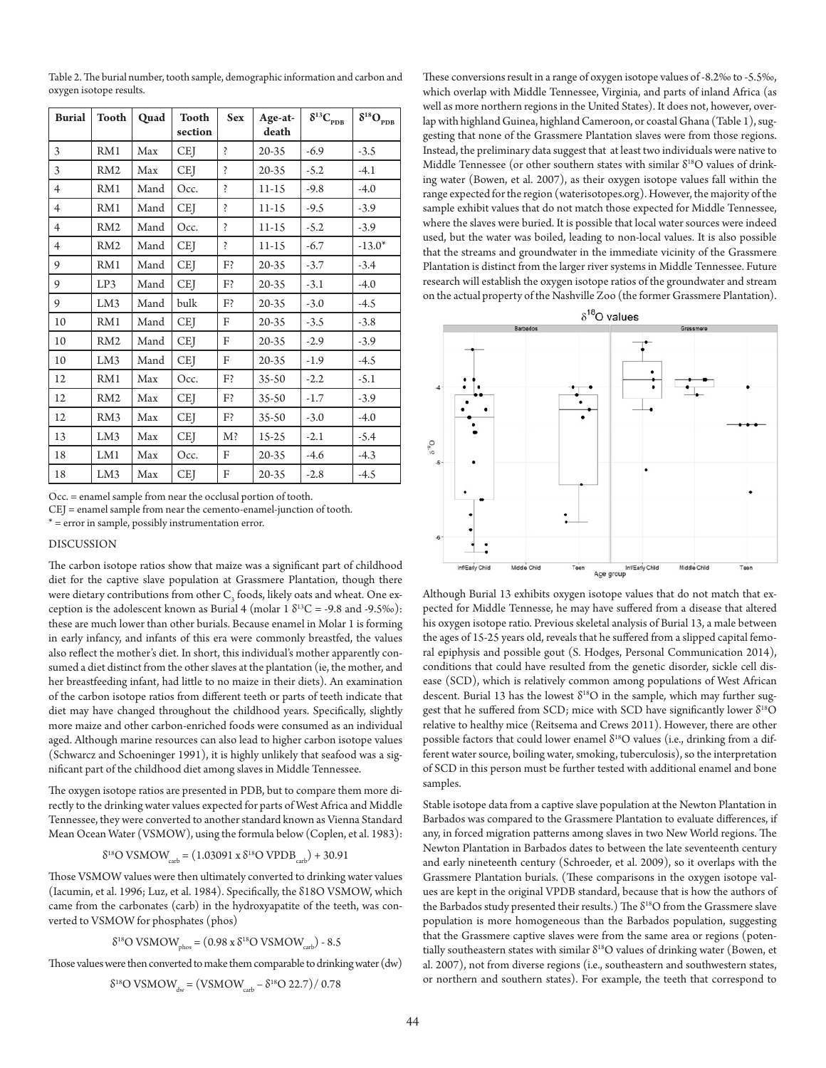Table 2. The burial number, tooth sample, demographic information and carbon and oxygen isotope results.

| <b>Burial</b>  | <b>Tooth</b>    | Quad | <b>Tooth</b><br>section | <b>Sex</b> | Age-at-<br>death | $\delta^{13}C_{_{PDB}}$ | $\delta^{18}O_{_{\rm PDB}}$ |
|----------------|-----------------|------|-------------------------|------------|------------------|-------------------------|-----------------------------|
| 3              | RM1             | Max  | <b>CEJ</b>              | Ş          | $20 - 35$        | $-6.9$                  | $-3.5$                      |
| 3              | RM2             | Max  | <b>CEJ</b>              | Ş          | 20-35            | $-5.2$                  | $-4.1$                      |
| $\overline{4}$ | RM1             | Mand | Occ.                    | Ş          | $11-15$          | $-9.8$                  | $-4.0$                      |
| $\overline{4}$ | RM1             | Mand | <b>CEJ</b>              | Ş          | $11-15$          | $-9.5$                  | $-3.9$                      |
| $\overline{4}$ | RM <sub>2</sub> | Mand | Occ.                    | Ş          | $11-15$          | $-5.2$                  | $-3.9$                      |
| $\overline{4}$ | RM <sub>2</sub> | Mand | <b>CEI</b>              | Ş          | $11-15$          | $-6.7$                  | $-13.0*$                    |
| 9              | RM1             | Mand | <b>CEJ</b>              | F?         | 20-35            | $-3.7$                  | $-3.4$                      |
| 9              | LP3             | Mand | <b>CEI</b>              | F?         | $20 - 35$        | $-3.1$                  | $-4.0$                      |
| 9              | LM3             | Mand | bulk                    | F?         | 20-35            | $-3.0$                  | $-4.5$                      |
| 10             | RM1             | Mand | <b>CEJ</b>              | F          | $20 - 35$        | $-3.5$                  | $-3.8$                      |
| 10             | RM <sub>2</sub> | Mand | <b>CEJ</b>              | F          | 20-35            | $-2.9$                  | $-3.9$                      |
| 10             | LM3             | Mand | <b>CEJ</b>              | F          | $20 - 35$        | $-1.9$                  | $-4.5$                      |
| 12             | RM1             | Max  | Occ.                    | F?         | $35 - 50$        | $-2.2$                  | $-5.1$                      |
| 12             | RM <sub>2</sub> | Max  | <b>CEJ</b>              | F?         | $35 - 50$        | $-1.7$                  | $-3.9$                      |
| 12             | RM <sub>3</sub> | Max  | <b>CEJ</b>              | F?         | $35 - 50$        | $-3.0$                  | $-4.0$                      |
| 13             | LM3             | Max  | <b>CEJ</b>              | $M$ ?      | $15-25$          | $-2.1$                  | $-5.4$                      |
| 18             | LM1             | Max  | Occ.                    | F          | $20 - 35$        | $-4.6$                  | $-4.3$                      |
| 18             | LM3             | Max  | <b>CEJ</b>              | F          | $20 - 35$        | $-2.8$                  | $-4.5$                      |

Occ. = enamel sample from near the occlusal portion of tooth.

CEJ = enamel sample from near the cemento-enamel-junction of tooth.

\* = error in sample, possibly instrumentation error.

# DISCUSSION

The carbon isotope ratios show that maize was a significant part of childhood diet for the captive slave population at Grassmere Plantation, though there were dietary contributions from other  $C_{\text{3}}$  foods, likely oats and wheat. One exception is the adolescent known as Burial 4 (molar 1  $\delta^{13}$ C = -9.8 and -9.5‰): these are much lower than other burials. Because enamel in Molar 1 is forming in early infancy, and infants of this era were commonly breastfed, the values also reflect the mother's diet. In short, this individual's mother apparently consumed a diet distinct from the other slaves at the plantation (ie, the mother, and her breastfeeding infant, had little to no maize in their diets). An examination of the carbon isotope ratios from different teeth or parts of teeth indicate that diet may have changed throughout the childhood years. Specifically, slightly more maize and other carbon-enriched foods were consumed as an individual aged. Although marine resources can also lead to higher carbon isotope values (Schwarcz and Schoeninger 1991), it is highly unlikely that seafood was a significant part of the childhood diet among slaves in Middle Tennessee.

The oxygen isotope ratios are presented in PDB, but to compare them more directly to the drinking water values expected for parts of West Africa and Middle Tennessee, they were converted to another standard known as Vienna Standard Mean Ocean Water (VSMOW), using the formula below (Coplen, et al. 1983):

$$
\delta^{18}
$$
O VSMOW<sub>cab</sub> = (1.03091 x  $\delta^{18}$ O VPDB<sub>cab</sub>) + 30.91

Those VSMOW values were then ultimately converted to drinking water values (Iacumin, et al. 1996; Luz, et al. 1984). Specifically, the δ18O VSMOW, which came from the carbonates (carb) in the hydroxyapatite of the teeth, was converted to VSMOW for phosphates (phos)

$$
\delta^{18} \text{O VSMOW}_{\text{phos}} = (0.98 \text{ x } \delta^{18} \text{O VSMOW}_{\text{carb}}) - 8.5
$$

Those values were then converted to make them comparable to drinking water (dw)

$$
\delta^{18}O VSMOW_{\text{dw}} = (VSMOW_{\text{carb}} - \delta^{18}O 22.7) / 0.78
$$

These conversions result in a range of oxygen isotope values of -8.2‰ to -5.5‰, which overlap with Middle Tennessee, Virginia, and parts of inland Africa (as well as more northern regions in the United States). It does not, however, overlap with highland Guinea, highland Cameroon, or coastal Ghana (Table 1), suggesting that none of the Grassmere Plantation slaves were from those regions. Instead, the preliminary data suggest that at least two individuals were native to Middle Tennessee (or other southern states with similar  $\delta^{18}O$  values of drinking water (Bowen, et al. 2007), as their oxygen isotope values fall within the range expected for the region (waterisotopes.org). However, the majority of the sample exhibit values that do not match those expected for Middle Tennessee, where the slaves were buried. It is possible that local water sources were indeed used, but the water was boiled, leading to non-local values. It is also possible that the streams and groundwater in the immediate vicinity of the Grassmere Plantation is distinct from the larger river systems in Middle Tennessee. Future research will establish the oxygen isotope ratios of the groundwater and stream on the actual property of the Nashville Zoo (the former Grassmere Plantation).



Although Burial 13 exhibits oxygen isotope values that do not match that expected for Middle Tennesse, he may have suffered from a disease that altered his oxygen isotope ratio. Previous skeletal analysis of Burial 13, a male between the ages of 15-25 years old, reveals that he suffered from a slipped capital femoral epiphysis and possible gout (S. Hodges, Personal Communication 2014), conditions that could have resulted from the genetic disorder, sickle cell disease (SCD), which is relatively common among populations of West African descent. Burial 13 has the lowest  $\delta^{18}O$  in the sample, which may further suggest that he suffered from SCD; mice with SCD have significantly lower  $\delta^{18}O$ relative to healthy mice (Reitsema and Crews 2011). However, there are other possible factors that could lower enamel  $\delta^{18}O$  values (i.e., drinking from a different water source, boiling water, smoking, tuberculosis), so the interpretation of SCD in this person must be further tested with additional enamel and bone samples.

Stable isotope data from a captive slave population at the Newton Plantation in Barbados was compared to the Grassmere Plantation to evaluate differences, if any, in forced migration patterns among slaves in two New World regions. The Newton Plantation in Barbados dates to between the late seventeenth century and early nineteenth century (Schroeder, et al. 2009), so it overlaps with the Grassmere Plantation burials. (These comparisons in the oxygen isotope values are kept in the original VPDB standard, because that is how the authors of the Barbados study presented their results.) The  $\delta^{18}O$  from the Grassmere slave population is more homogeneous than the Barbados population, suggesting that the Grassmere captive slaves were from the same area or regions (potentially southeastern states with similar  $\delta^{18}O$  values of drinking water (Bowen, et al. 2007), not from diverse regions (i.e., southeastern and southwestern states, or northern and southern states). For example, the teeth that correspond to